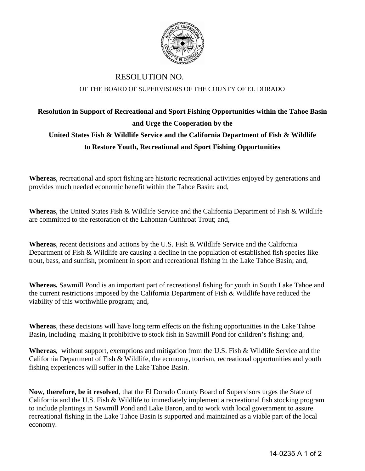

## RESOLUTION NO. OF THE BOARD OF SUPERVISORS OF THE COUNTY OF EL DORADO

## **Resolution in Support of Recreational and Sport Fishing Opportunities within the Tahoe Basin and Urge the Cooperation by the United States Fish & Wildlife Service and the California Department of Fish & Wildlife to Restore Youth, Recreational and Sport Fishing Opportunities**

**Whereas**, recreational and sport fishing are historic recreational activities enjoyed by generations and provides much needed economic benefit within the Tahoe Basin; and,

**Whereas**, the United States Fish & Wildlife Service and the California Department of Fish & Wildlife are committed to the restoration of the Lahontan Cutthroat Trout; and,

**Whereas**, recent decisions and actions by the U.S. Fish & Wildlife Service and the California Department of Fish & Wildlife are causing a decline in the population of established fish species like trout, bass, and sunfish, prominent in sport and recreational fishing in the Lake Tahoe Basin; and,

**Whereas,** Sawmill Pond is an important part of recreational fishing for youth in South Lake Tahoe and the current restrictions imposed by the California Department of Fish & Wildlife have reduced the viability of this worthwhile program; and,

**Whereas**, these decisions will have long term effects on the fishing opportunities in the Lake Tahoe Basin**,** including making it prohibitive to stock fish in Sawmill Pond for children's fishing; and,

**Whereas**, without support, exemptions and mitigation from the U.S. Fish & Wildlife Service and the California Department of Fish & Wildlife, the economy, tourism, recreational opportunities and youth fishing experiences will suffer in the Lake Tahoe Basin.

**Now, therefore, be it resolved**, that the El Dorado County Board of Supervisors urges the State of California and the U.S. Fish & Wildlife to immediately implement a recreational fish stocking program to include plantings in Sawmill Pond and Lake Baron, and to work with local government to assure recreational fishing in the Lake Tahoe Basin is supported and maintained as a viable part of the local economy.